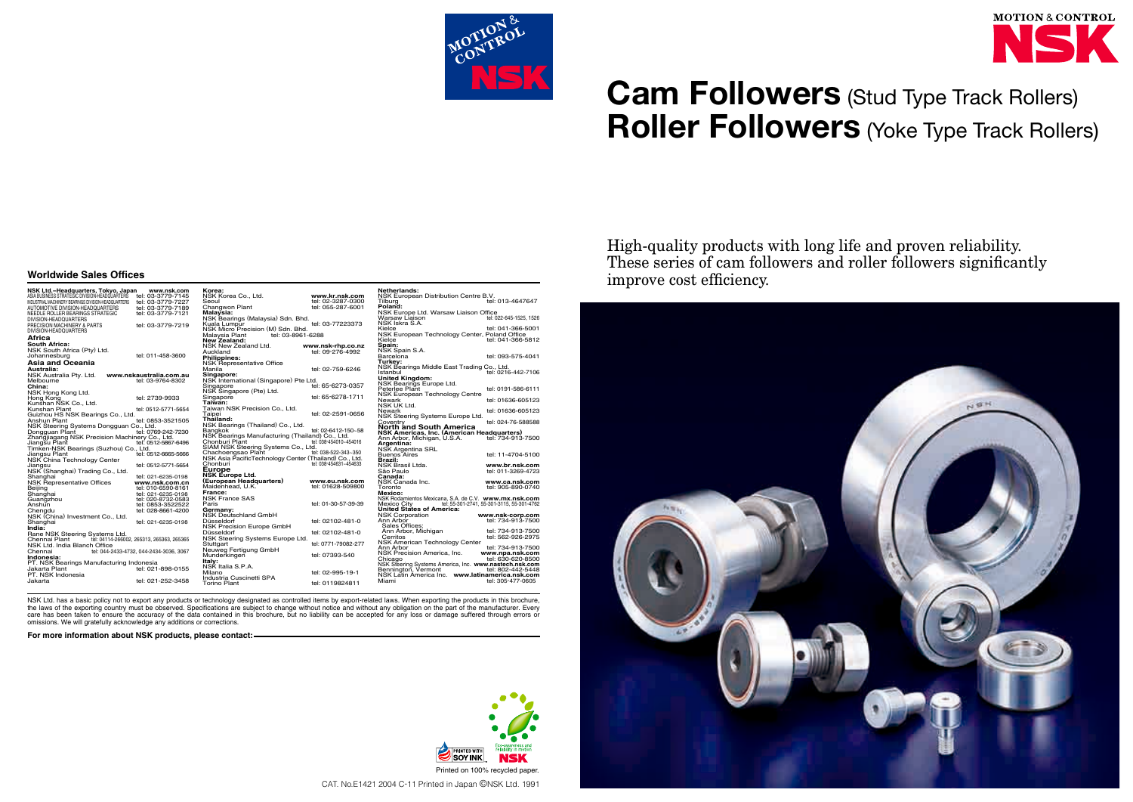

# **Cam Followers** (Stud Type Track Rollers) **Roller Followers** (Yoke Type Track Rollers)

High-quality products with long life and proven reliability. These series of cam followers and roller followers significantly improve cost efficiency.

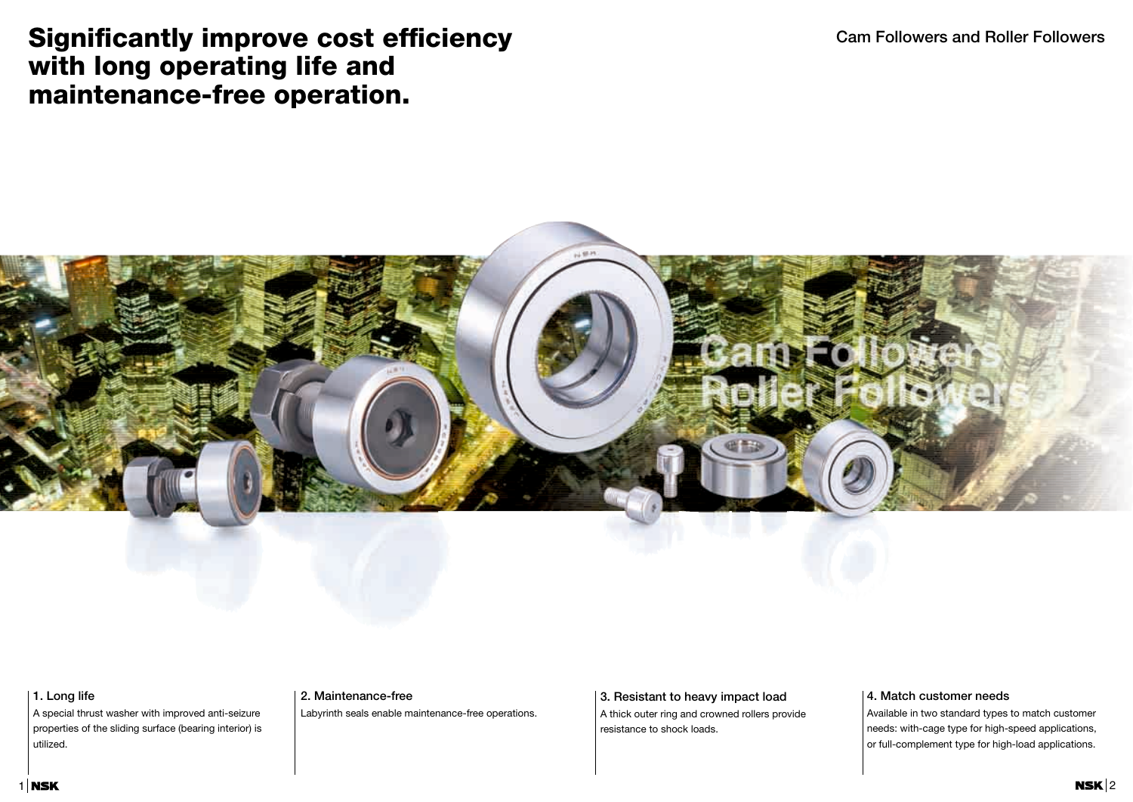### **Cam Followers and Roller Followers**



## **Significantly improve cost efficiency with long operating life and maintenance-free operation.**

### **1. Long life**

A special thrust washer with improved anti-seizure properties of the sliding surface (bearing interior) is utilized.

### **2. Maintenance-free**

Labyrinth seals enable maintenance-free operations.

### **3. Resistant to heavy impact load**

A thick outer ring and crowned rollers provide resistance to shock loads.

### **4. Match customer needs**

Available in two standard types to match customer needs: with-cage type for high-speed applications, or full-complement type for high-load applications.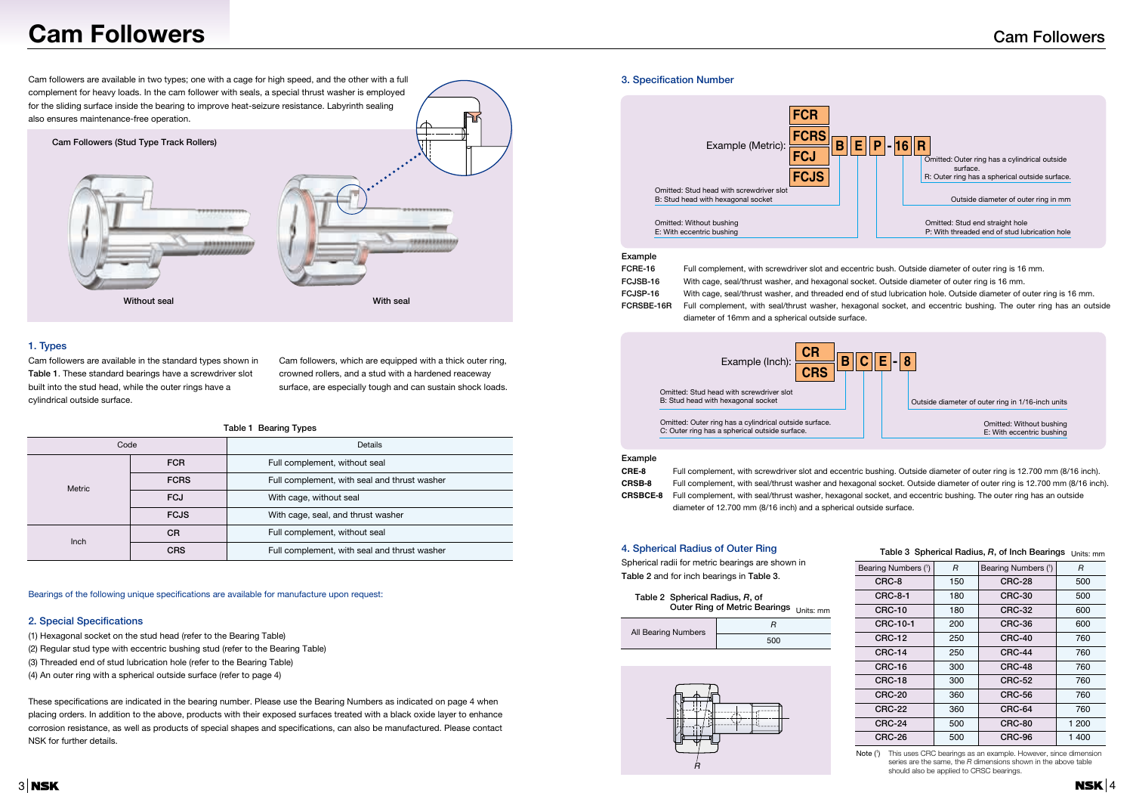- 
- 
- 

## **Cam Followers**

Cam followers are available in two types; one with a cage for high speed, and the other with a full complement for heavy loads. In the cam follower with seals, a special thrust washer is employed for the sliding surface inside the bearing to improve heat-seizure resistance. Labyrinth sealing also ensures maintenance-free operation.



### **1. Types**

Cam followers are available in the standard types shown in **Table 1**. These standard bearings have a screwdriver slot built into the stud head, while the outer rings have a cylindrical outside surface.

Cam followers, which are equipped with a thick outer ring, crowned rollers, and a stud with a hardened reaceway surface, are especially tough and can sustain shock loads.

#### **Table 1 Bearing Types**

Bearings of the following unique specifications are available for manufacture upon request:

#### **2. Special Specifications**

- (1) Hexagonal socket on the stud head (refer to the Bearing Table)
- (2) Regular stud type with eccentric bushing stud (refer to the Bearing Table)
- (3) Threaded end of stud lubrication hole (refer to the Bearing Table)
- (4) An outer ring with a spherical outside surface (refer to page 4)

These specifications are indicated in the bearing number. Please use the Bearing Numbers as indicated on page 4 when placing orders. In addition to the above, products with their exposed surfaces treated with a black oxide layer to enhance corrosion resistance, as well as products of special shapes and specifications, can also be manufactured. Please contact NSK for further details.

Spherical radii for metric bearings are shown in **Table 2** and for inch bearings in Table 3.

#### **3. Specification Number**

Note (1) This uses CRC bearings as an example. However, since dimension series are the same, the *R* dimensions shown in the above table should also be applied to CRSC bearings.

### Outer Ring of Metric Bearings <sub>Units: mm</sub> **Table 2 Spherical Radius,** *R***, of**



#### **Example**

| Code          |             | <b>Details</b>                               |  |  |  |
|---------------|-------------|----------------------------------------------|--|--|--|
|               | <b>FCR</b>  | Full complement, without seal                |  |  |  |
| <b>Metric</b> | <b>FCRS</b> | Full complement, with seal and thrust washer |  |  |  |
|               | <b>FCJ</b>  | With cage, without seal                      |  |  |  |
|               | <b>FCJS</b> | With cage, seal, and thrust washer           |  |  |  |
| <b>Inch</b>   | <b>CR</b>   | Full complement, without seal                |  |  |  |
|               | <b>CRS</b>  | Full complement, with seal and thrust washer |  |  |  |

**FCRE-16** Full complement, with screwdriver slot and eccentric bush. Outside diameter of outer ring is 16 mm. **FCJSB-16** With cage, seal/thrust washer, and hexagonal socket. Outside diameter of outer ring is 16 mm. **FCJSP-16** With cage, seal/thrust washer, and threaded end of stud lubrication hole. Outside diameter of outer ring is 16 mm. **FCRSBE-16R** Full complement, with seal/thrust washer, hexagonal socket, and eccentric bushing. The outer ring has an outside diameter of 16mm and a spherical outside surface.



| $\overline{\mathbf{c}}$<br>$E$ -8                     |
|-------------------------------------------------------|
| Outside diameter of outer ring in 1/16-inch units     |
| Omitted: Without bushing<br>E: With eccentric bushing |

Omitted: Outer ring has a cylindrical outside surface. C: Outer ring has a spherical outside surface.

> tric bushing. Outside diameter of outer ring is 12.700 mm (8/16 inch). agonal socket. Outside diameter of outer ring is 12.700 mm (8/16 inch). nal socket, and eccentric bushing. The outer ring has an outside

#### **Example**

| CRE-8           | Full complement, with screwdriver slot and eccentric bushing. Outs |
|-----------------|--------------------------------------------------------------------|
| <b>CRSB-8</b>   | Full complement, with seal/thrust washer and hexagonal socket. O   |
| <b>CRSBCE-8</b> | Full complement, with seal/thrust washer, hexagonal socket, and e  |
|                 | diameter of 12.700 mm (8/16 inch) and a spherical outside surface. |

#### **4. Spherical Radius of Outer Ring**



| abio o "optionoai" nadidoj 71, or mon Doarmgo "Uffits, ffffff |     |                     |       |  |  |  |
|---------------------------------------------------------------|-----|---------------------|-------|--|--|--|
| Bearing Numbers (1)                                           | R   | Bearing Numbers (1) | R     |  |  |  |
| CRC-8                                                         | 150 | <b>CRC-28</b>       | 500   |  |  |  |
| <b>CRC-8-1</b>                                                | 180 | <b>CRC-30</b>       | 500   |  |  |  |
| <b>CRC-10</b>                                                 | 180 | <b>CRC-32</b>       | 600   |  |  |  |
| <b>CRC-10-1</b>                                               | 200 | <b>CRC-36</b>       | 600   |  |  |  |
| <b>CRC-12</b>                                                 | 250 | <b>CRC-40</b>       | 760   |  |  |  |
| <b>CRC-14</b>                                                 | 250 | <b>CRC-44</b>       | 760   |  |  |  |
| <b>CRC-16</b>                                                 | 300 | <b>CRC-48</b>       | 760   |  |  |  |
| <b>CRC-18</b>                                                 | 300 | <b>CRC-52</b>       | 760   |  |  |  |
| <b>CRC-20</b>                                                 | 360 | <b>CRC-56</b>       | 760   |  |  |  |
| <b>CRC-22</b>                                                 | 360 | <b>CRC-64</b>       | 760   |  |  |  |
| <b>CRC-24</b>                                                 | 500 | <b>CRC-80</b>       | 1 200 |  |  |  |
| <b>CRC-26</b>                                                 | 500 | CRC-96              | 1400  |  |  |  |

#### $\textsf{Table 3}$  Spherical Radius, *R*, of Inch Bearings  $_{\textsf{Units}: \textsf{mm}}$

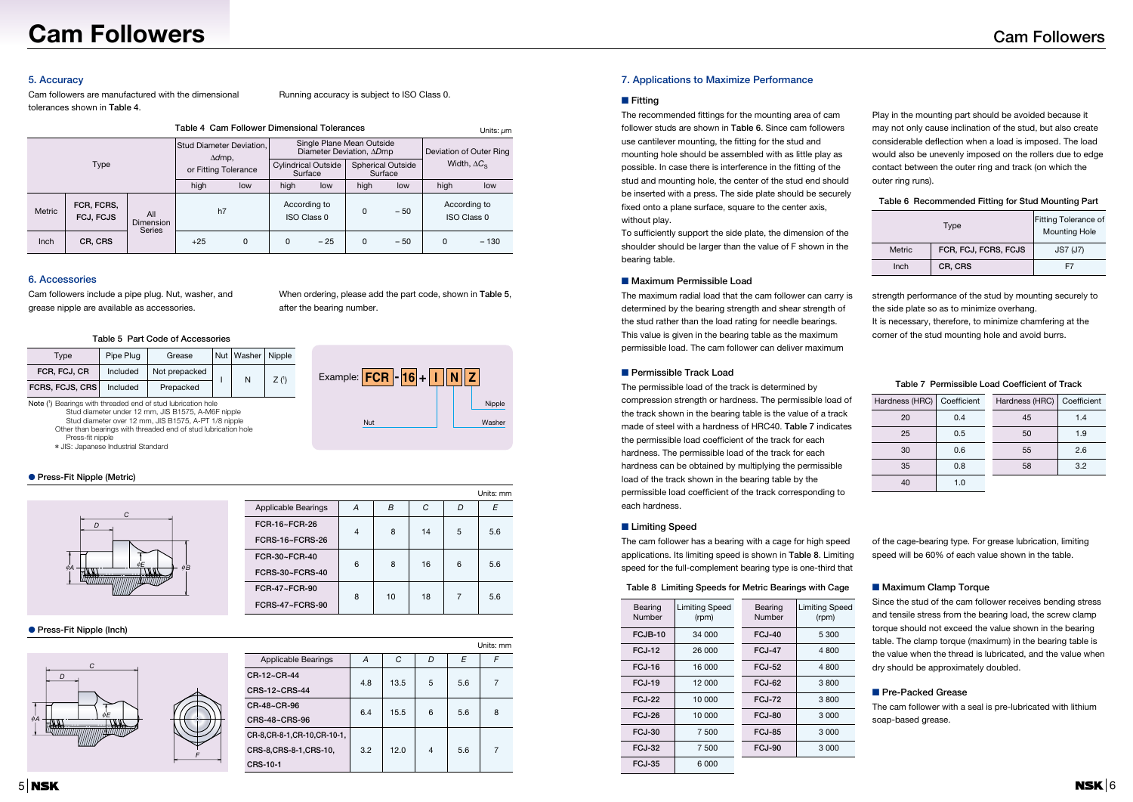



## **Cam Followers**

### **5. Accuracy**

Cam followers are manufactured with the dimensional tolerances shown in **Table 4**.

Running accuracy is subject to ISO Class 0.

#### **6. Accessories**

Cam followers include a pipe plug. Nut, washer, and grease nipple are available as accessories.

When ordering, please add the part code, shown in **Table 5**, after the bearing number.

- Stud diameter under 12 mm, JIS B1575, A-M6F nipple Stud diameter over 12 mm, JIS B1575, A-PT 1/8 nipple
- Other than bearings with threaded end of stud lubrication hole
- Press-fit nipple
- ✽ JIS: Japanese Industrial Standard

#### **Table 5 Part Code of Accessories**

Nipple

Example: **FCR - 16 <sup>+</sup> I N Z**

Nut Washer

#### ● **Press-Fit Nipple (Metric)**

#### ● **Press-Fit Nipple (Inch)**

#### **7. Applications to Maximize Performance**

#### ■ **Fitting**

The recommended fittings for the mounting area of cam follower studs are shown in **Table 6**. Since cam followers use cantilever mounting, the fitting for the stud and mounting hole should be assembled with as little play as possible. In case there is interference in the fitting of the stud and mounting hole, the center of the stud end should be inserted with a press. The side plate should be securely fixed onto a plane surface, square to the center axis, without play.

To sufficiently support the side plate, the dimension of the shoulder should be larger than the value of F shown in the bearing table.

#### ■ Maximum Permissible Load

Play in the mounting part should be avoided because it may not only cause inclination of the stud, but also create considerable deflection when a load is imposed. The load would also be unevenly imposed on the rollers due to edge contact between the outer ring and track (on which the outer ring runs).

| Table 6 Recommended Fitting for Stud Mounting Part |  |  |
|----------------------------------------------------|--|--|
|                                                    |  |  |

The maximum radial load that the cam follower can carry is determined by the bearing strength and shear strength of the stud rather than the load rating for needle bearings. This value is given in the bearing table as the maximum permissible load. The cam follower can deliver maximum

strength performance of the stud by mounting securely to the side plate so as to minimize overhang.

| Table 4 Cam Follower Dimensional Tolerances |                         |                                                                    |       |                                                                              |     |                                    | Units: $\mu$ m                                       |       |     |                             |
|---------------------------------------------|-------------------------|--------------------------------------------------------------------|-------|------------------------------------------------------------------------------|-----|------------------------------------|------------------------------------------------------|-------|-----|-----------------------------|
| Type                                        |                         | Stud Diameter Deviation,<br>$\Delta d$ mp,<br>or Fitting Tolerance |       | Single Plane Mean Outside<br>Diameter Deviation, ADmp                        |     |                                    | Deviation of Outer Ring<br>Width, $\Delta C_{\rm S}$ |       |     |                             |
|                                             |                         |                                                                    |       | <b>Cylindrical Outside</b><br><b>Spherical Outside</b><br>Surface<br>Surface |     |                                    |                                                      |       |     |                             |
|                                             |                         | high                                                               | low   | high                                                                         | low | high                               | low                                                  | high  | low |                             |
| <b>Metric</b>                               | FCR, FCRS,<br>FCJ, FCJS | All<br>Dimension<br><b>Series</b>                                  | h7    |                                                                              |     | According to<br><b>ISO Class 0</b> | $\Omega$                                             | $-50$ |     | According to<br>ISO Class 0 |
| Inch                                        | CR, CRS                 |                                                                    | $+25$ | $\Omega$                                                                     | 0   | $-25$                              | 0                                                    | $-50$ | 0   | $-130$                      |

It is necessary, therefore, to minimize chamfering at the corner of the stud mounting hole and avoid burrs.

#### ■ **Permissible Track Load**

The permissible load of the track is determined by compression strength or hardness. The permissible load of the track shown in the bearing table is the value of a track made of steel with a hardness of HRC40. **Table 7** indicates the permissible load coefficient of the track for each hardness. The permissible load of the track for each hardness can be obtained by multiplying the permissible load of the track shown in the bearing table by the permissible load coefficient of the track corresponding to each hardness.

#### **Table 7 Permissible Load Coefficient of Track**

Since the stud of the cam follower receives bending stress and tensile stress from the bearing load, the screw clamp torque should not exceed the value shown in the bearing table. The clamp torque (maximum) in the bearing table is the value when the thread is lubricated, and the value when dry should be approximately doubled.

#### ■ **Pre-Packed Grease**

The cam follower with a seal is pre-lubricated with lithium soap-based grease.

#### ■ **Limiting Speed**

The cam follower has a bearing with a cage for high speed applications. Its limiting speed is shown in **Table 8**. Limiting speed for the full-complement bearing type is one-third that

#### **Table 8 Limiting Speeds for Metric Bearings with Cage**

| Hardness (HRC) | Coefficient | Hardness (HRC) | Coefficient |
|----------------|-------------|----------------|-------------|
| 20             | 0.4         | 45             | 1.4         |
| 25             | 0.5         | 50             | 1.9         |
| 30             | 0.6         | 55             | 2.6         |
| 35             | 0.8         | 58             | 3.2         |
|                |             |                |             |

Units: mm

of the cage-bearing type. For grease lubrication, limiting speed will be 60% of each value shown in the table.

#### ■ Maximum Clamp Torque

|                               |     |      |   |     | Units: mm |
|-------------------------------|-----|------|---|-----|-----------|
| <b>Applicable Bearings</b>    | A   | C    | D | E   | F         |
| CR-12~CR-44                   | 4.8 | 13.5 | 5 | 5.6 | 7         |
| CRS-12~CRS-44                 |     |      |   |     |           |
| CR-48~CR-96                   | 6.4 |      |   | 5.6 | 8         |
| CRS-48~CRS-96                 |     | 15.5 | 6 |     |           |
| CR-8, CR-8-1, CR-10, CR-10-1, |     |      |   |     |           |
| CRS-8, CRS-8-1, CRS-10,       | 3.2 | 12.0 | 4 | 5.6 | 7         |
| <b>CRS-10-1</b>               |     |      |   |     |           |

| Type            | Pipe Plug | Grease        | Nut   Washer   Nipple |      |
|-----------------|-----------|---------------|-----------------------|------|
| FCR, FCJ, CR    | Included  | Not prepacked | N                     | Z(1) |
| FCRS, FCJS, CRS | Included  | Prepacked     |                       |      |

Note (1) Bearings with threaded end of stud lubrication hole

|        | Fitting Tolerance of<br><b>Mounting Hole</b> |                 |
|--------|----------------------------------------------|-----------------|
| Metric | FCR, FCJ, FCRS, FCJS                         | <b>JS7 (J7)</b> |
| Inch   | CR, CRS                                      | F7              |

| Applicable Bearings    | А | В  | C  | D | F   |
|------------------------|---|----|----|---|-----|
| FCR-16~FCR-26          | 4 | 8  | 14 | 5 | 5.6 |
| <b>FCRS-16~FCRS-26</b> |   |    |    |   |     |
| FCR-30~FCR-40          | 6 | 8  | 16 | 6 | 5.6 |
| FCRS-30~FCRS-40        |   |    |    |   |     |
| FCR-47~FCR-90          | 8 | 10 | 18 | 7 | 5.6 |
| <b>FCRS-47~FCRS-90</b> |   |    |    |   |     |

| <b>Bearing</b><br>Number | <b>Limiting Speed</b><br>(rpm) | <b>Bearing</b><br>Number | <b>Limiting Speed</b><br>(rpm) |
|--------------------------|--------------------------------|--------------------------|--------------------------------|
| FCJB-10                  | 34 000                         | FCJ-40                   | 5 300                          |
| <b>FCJ-12</b>            | 26 000                         | <b>FCJ-47</b>            | 4800                           |
| FCJ-16                   | 16 000                         | <b>FCJ-52</b>            | 4 800                          |
| <b>FCJ-19</b>            | 12 000                         | <b>FCJ-62</b>            | 3800                           |
| <b>FC.I-22</b>           | 10 000                         | <b>FCJ-72</b>            | 3800                           |
| <b>FCJ-26</b>            | 10 000                         | <b>FCJ-80</b>            | 3 000                          |
| <b>FCJ-30</b>            | 7 500                          | <b>FCJ-85</b>            | 3 000                          |
| <b>FCJ-32</b>            | 7 500                          | FCJ-90                   | 3 000                          |
| <b>FCJ-35</b>            | 6 000                          |                          |                                |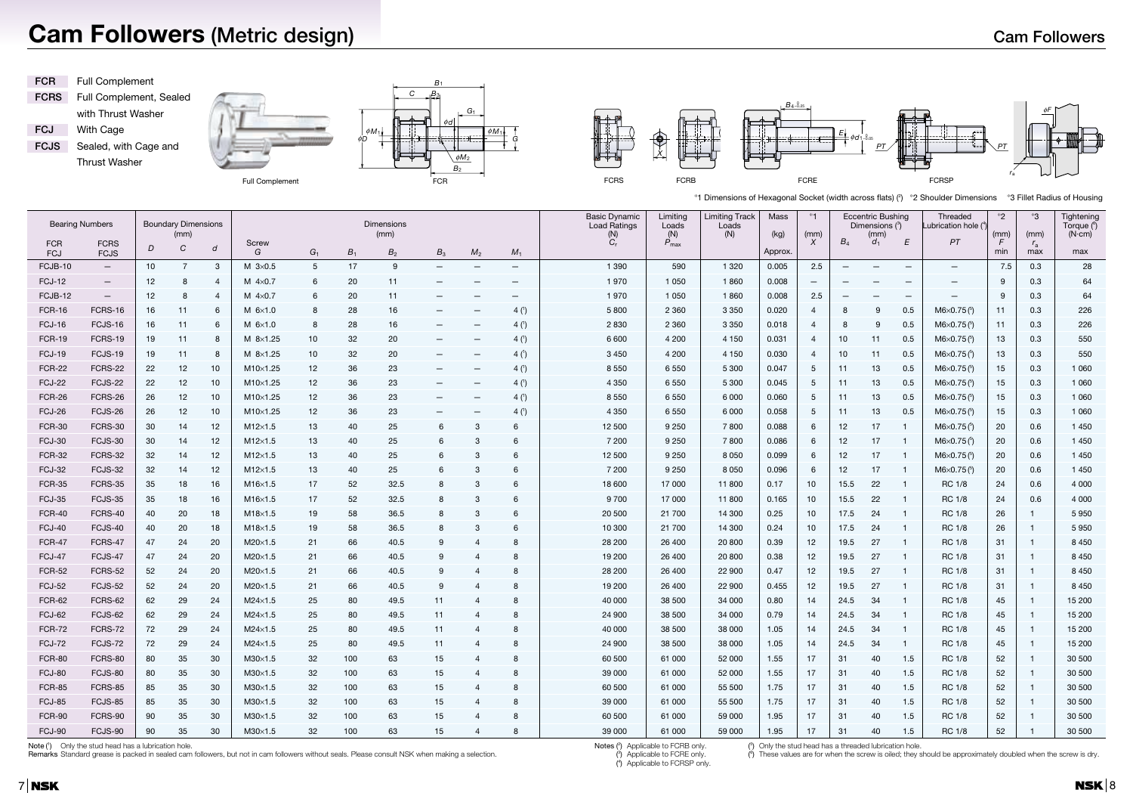| cross flats) (2) *2 Shoulder Dimensions |  |
|-----------------------------------------|--|
|                                         |  |

## **Cam Followers (Metric design)**

Remarks Standard grease is packed in sealed cam followers, but not in cam followers without seals. Please consult NSK when making a selection.

Notes (<sup>2</sup>) Applicable to FCRB only.



|                   | <b>Bearing Numbers</b>     |                 | <b>Boundary Dimensions</b><br>(mm) |                 |                     |       |       | Dimensions<br>(mm) |                          |                          |                          | <b>Basic Dynamic</b><br><b>Load Ratings</b>                         | Limiting<br>Loads<br>(N) | <b>Limiting Track</b><br>Loads<br>(N) | Mass<br>(kg) | *1<br>(mm)       |       | <b>Eccentric Bushing</b><br>Dimensions $(3)$<br>(mm) |                          | Threaded<br>Lubrication hole $(4)$ | $^*2$<br>(mm) | *ვ<br>(mm)         | Tightening<br>Torque (6)<br>$(N \cdot cm)$ |
|-------------------|----------------------------|-----------------|------------------------------------|-----------------|---------------------|-------|-------|--------------------|--------------------------|--------------------------|--------------------------|---------------------------------------------------------------------|--------------------------|---------------------------------------|--------------|------------------|-------|------------------------------------------------------|--------------------------|------------------------------------|---------------|--------------------|--------------------------------------------|
| <b>FCR</b><br>FCJ | <b>FCRS</b><br><b>FCJS</b> | D               | C                                  | d               | Screw<br>G          | $G_1$ | $B_1$ | $B_{2}$            | $B_3$                    | M <sub>2</sub>           | $M_1$                    | $\begin{matrix} \mathsf{(N)}\ \mathsf{C}_{\mathsf{r}} \end{matrix}$ | $P_{\text{max}}$         |                                       | Approx.      | $\boldsymbol{X}$ | $B_4$ | $d_1$                                                | E                        | PT                                 | F<br>min      | $r_{\rm a}$<br>max | max                                        |
| FCJB-10           | $-$                        | 10 <sup>1</sup> | 7                                  | 3               | M $3\times0.5$      | 5     | 17    | 9                  | —                        |                          | $\overline{\phantom{m}}$ | 1 3 9 0                                                             | 590                      | 1 3 2 0                               | 0.005        | 2.5              |       |                                                      | $\qquad \qquad \qquad$   | $\qquad \qquad -$                  | 7.5           | 0.3                | 28                                         |
| <b>FCJ-12</b>     | $\qquad \qquad -$          | 12              | 8                                  |                 | M $4\times0.7$      | 6     | 20    | 11                 | $\overline{\phantom{m}}$ |                          | $\overline{\phantom{m}}$ | 1970                                                                | 1 0 5 0                  | 1860                                  | 0.008        |                  |       |                                                      | $\overline{\phantom{m}}$ | $\overline{\phantom{m}}$           | -9            | 0.3                | 64                                         |
| FCJB-12           |                            | 12              | 8                                  | $\overline{4}$  | M $4\times0.7$      | 6     | 20    | 11                 | $\overline{\phantom{m}}$ |                          |                          | 1970                                                                | 1 0 5 0                  | 1860                                  | 0.008        | 2.5              |       | $\overline{\phantom{m}}$                             | $\overline{\phantom{m}}$ | $\overline{\phantom{m}}$           | 9             | 0.3                | 64                                         |
| <b>FCR-16</b>     | FCRS-16                    | 16              | 11                                 | 6               | $M$ 6 $\times$ 1.0  |       | 28    | 16                 | $\qquad \qquad -$        |                          | 4(1)                     | 5 800                                                               | 2 3 6 0                  | 3 3 5 0                               | 0.020        | $\overline{4}$   | -8    | 9                                                    | 0.5                      | $M6\times0.75^{5}$                 | 11            | 0.3                | 226                                        |
| <b>FCJ-16</b>     | FCJS-16                    | 16              | 11                                 | 6               | $M$ 6 $\times$ 1.0  | 8     | 28    | 16                 |                          | $\overline{\phantom{m}}$ | 4(1)                     | 2 8 3 0                                                             | 2 3 6 0                  | 3 3 5 0                               | 0.018        | $\overline{4}$   | -8    | 9                                                    | 0.5                      | $M6\times 0.75^{(5)}$              | 11            | 0.3                | 226                                        |
| <b>FCR-19</b>     | FCRS-19                    | 19              | 11                                 | 8               | $M$ 8 $\times$ 1.25 | 10    | 32    | 20                 | $\qquad \qquad -$        | $\qquad \qquad -$        | 4(1)                     | 6 600                                                               | 4 200                    | 4 1 5 0                               | 0.031        | $\overline{4}$   | $10$  | 11                                                   | 0.5                      | $M6\times0.75^{5}$                 | 13            | 0.3                | 550                                        |
| <b>FCJ-19</b>     | FCJS-19                    | 19              | 11                                 | 8               | $M$ 8 $\times$ 1.25 | 10    | 32    | 20                 | $\overline{\phantom{m}}$ |                          | 4(1)                     | 3 4 5 0                                                             | 4 200                    | 4 150                                 | 0.030        | $\overline{4}$   | 10    | 11                                                   | 0.5                      | $M6\times0.75^{5}$                 | 13            | 0.3                | 550                                        |
| <b>FCR-22</b>     | FCRS-22                    | 22              | 12                                 | 10 <sup>°</sup> | $M10\times1.25$     | 12    | 36    | 23                 | —                        |                          | 4(1)                     | 8 5 5 0                                                             | 6 5 5 0                  | 5 3 0 0                               | 0.047        | 5                | 11    | 13                                                   | 0.5                      | $M6\times0.75^{5}$                 | 15            | 0.3                | 1 0 6 0                                    |
| <b>FCJ-22</b>     | FCJS-22                    | 22              | 12                                 | 10 <sup>°</sup> | M10×1.25            | 12    | 36    | 23                 | $\overline{\phantom{m}}$ |                          | 4(1)                     | 4 3 5 0                                                             | 6 5 5 0                  | 5 3 0 0                               | 0.045        | -5               | 11    | 13                                                   | 0.5                      | $M6\times0.75^{5}$                 | 15            | 0.3                | 1 0 6 0                                    |
| <b>FCR-26</b>     | FCRS-26                    | 26              | 12                                 | 10 <sup>°</sup> | $M10\times1.25$     | 12    | 36    | 23                 | $\qquad \qquad -$        |                          | 4(1)                     | 8 5 5 0                                                             | 6 5 5 0                  | 6 0 0 0                               | 0.060        | $5\phantom{.0}$  | 11    | 13                                                   | 0.5                      | $M6\times0.75^{5}$                 | 15            | 0.3                | 1 0 6 0                                    |
| <b>FCJ-26</b>     | FCJS-26                    | 26              | 12                                 | 10              | $M10\times1.25$     | 12    | 36    | 23                 | $\qquad \qquad -$        |                          | 4()                      | 4 3 5 0                                                             | 6 5 5 0                  | 6 0 0 0                               | 0.058        | $5\phantom{.0}$  | 11    | 13                                                   | 0.5                      | $M6\times 0.75^{^{6})$             | 15            | 0.3                | 1 0 6 0                                    |
| <b>FCR-30</b>     | FCRS-30                    | 30              | 14                                 | 12              | $M12\times1.5$      | 13    | 40    | 25                 | 6                        | 3                        | 6                        | 12 500                                                              | 9 2 5 0                  | 7800                                  | 0.088        | 6                | 12    | 17                                                   |                          | $M6\times 0.75^{(5)}$              | 20            | 0.6                | 1 4 5 0                                    |
| <b>FCJ-30</b>     | FCJS-30                    | 30              | 14                                 | 12 <sub>2</sub> | $M12\times1.5$      | 13    | 40    | 25                 | 6                        | 3                        | 6                        | 7 200                                                               | 9 2 5 0                  | 7800                                  | 0.086        | 6                | 12    | 17                                                   |                          | $M6\times0.75^{5}$                 | 20            | 0.6                | 1 4 5 0                                    |
| <b>FCR-32</b>     | FCRS-32                    | 32              | 14                                 | 12              | $M12\times1.5$      | 13    | 40    | 25                 | 6                        | 3                        | 6                        | 12 500                                                              | 9 2 5 0                  | 8 0 5 0                               | 0.099        | 6                | 12    | 17                                                   |                          | $M6\times0.75^{5}$                 | 20            | 0.6                | 1 4 5 0                                    |
| <b>FCJ-32</b>     | FCJS-32                    | 32              | 14                                 | 12 <sub>2</sub> | $M12\times1.5$      | 13    | 40    | 25                 | 6                        | 3                        |                          | 7 200                                                               | 9 2 5 0                  | 8 0 5 0                               | 0.096        | 6                | 12    | 17                                                   |                          | $M6\times0.75^{5}$                 | 20            | 0.6                | 1 4 5 0                                    |
| <b>FCR-35</b>     | FCRS-35                    | 35              | 18                                 | 16              | $M16\times1.5$      | 17    | 52    | 32.5               | 8                        | 3                        |                          | 18 600                                                              | 17 000                   | 11 800                                | 0.17         | 10               | 15.5  | 22                                                   |                          | <b>RC 1/8</b>                      | 24            | 0.6                | 4 0 0 0                                    |
| <b>FCJ-35</b>     | FCJS-35                    | 35              | 18                                 | 16              | $M16\times1.5$      | 17    | 52    | 32.5               | 8                        | -3                       | 6                        | 9700                                                                | 17 000                   | 11 800                                | 0.165        | 10               | 15.5  | 22                                                   |                          | <b>RC 1/8</b>                      | 24            | 0.6                | 4 0 0 0                                    |
| <b>FCR-40</b>     | FCRS-40                    | 40              | 20                                 | 18              | $M18\times1.5$      | 19    | 58    | 36.5               | 8                        | -3                       |                          | 20 500                                                              | 21 700                   | 14 300                                | 0.25         | 10               | 17.5  | 24                                                   |                          | <b>RC 1/8</b>                      | 26            | -1                 | 5950                                       |
| <b>FCJ-40</b>     | FCJS-40                    | 40              | 20                                 | 18              | $M18\times1.5$      | 19    | 58    | 36.5               | 8                        | -3                       |                          | 10 300                                                              | 21 700                   | 14 300                                | 0.24         | 10               | 17.5  | 24                                                   |                          | <b>RC 1/8</b>                      | 26            | -1                 | 5950                                       |
| <b>FCR-47</b>     | FCRS-47                    | 47              | 24                                 | 20              | $M20\times1.5$      | 21    | 66    | 40.5               | 9                        | $\overline{4}$           |                          | 28 200                                                              | 26 400                   | 20 800                                | 0.39         | 12               | 19.5  | 27                                                   |                          | <b>RC 1/8</b>                      | 31            | -1                 | 8 4 5 0                                    |
| <b>FCJ-47</b>     | FCJS-47                    | 47              | 24                                 | 20              | $M20\times1.5$      | 21    | 66    | 40.5               | 9                        | $\overline{4}$           | 8                        | 19 200                                                              | 26 400                   | 20 800                                | 0.38         | 12               | 19.5  | 27                                                   |                          | <b>RC 1/8</b>                      | 31            | -1                 | 8 4 5 0                                    |
| <b>FCR-52</b>     | FCRS-52                    | 52              | 24                                 | 20              | $M20\times1.5$      | 21    | 66    | 40.5               | 9                        | $\overline{4}$           | 8                        | 28 200                                                              | 26 400                   | 22 900                                | 0.47         | 12               | 19.5  | 27                                                   |                          | <b>RC 1/8</b>                      | 31            | $\mathbf{1}$       | 8 4 5 0                                    |
| <b>FCJ-52</b>     | FCJS-52                    | 52              | 24                                 | 20              | $M20\times1.5$      | 21    | 66    | 40.5               | 9                        | $\overline{4}$           | 8                        | 19 200                                                              | 26 400                   | 22 900                                | 0.455        | 12               | 19.5  | 27                                                   |                          | <b>RC 1/8</b>                      | 31            | $\mathbf{1}$       | 8 4 5 0                                    |
| <b>FCR-62</b>     | FCRS-62                    | 62              | 29                                 | 24              | $M24\times1.5$      | 25    | 80    | 49.5               | 11                       | $\overline{4}$           | 8                        | 40 000                                                              | 38 500                   | 34 000                                | 0.80         | 14               | 24.5  | -34                                                  |                          | <b>RC 1/8</b>                      | 45            | -1                 | 15 200                                     |
| <b>FCJ-62</b>     | FCJS-62                    | 62              | 29                                 | 24              | $M24\times1.5$      | 25    | 80    | 49.5               | 11                       | $\overline{4}$           | 8                        | 24 900                                                              | 38 500                   | 34 000                                | 0.79         | 14               | 24.5  | -34                                                  |                          | <b>RC 1/8</b>                      | 45            |                    | 15 200                                     |
| <b>FCR-72</b>     | FCRS-72                    | 72              | 29                                 | 24              | $M24\times1.5$      | 25    | 80    | 49.5               | 11                       |                          |                          | 40 000                                                              | 38 500                   | 38 000                                | 1.05         | 14               | 24.5  | 34                                                   |                          | <b>RC 1/8</b>                      | 45            |                    | 15 200                                     |
| <b>FCJ-72</b>     | FCJS-72                    | 72              | 29                                 | 24              | $M24\times1.5$      | 25    | 80    | 49.5               | 11                       |                          | 8                        | 24 900                                                              | 38 500                   | 38 000                                | 1.05         | 14               | 24.5  | -34                                                  |                          | <b>RC 1/8</b>                      | 45            |                    | 15 200                                     |
| <b>FCR-80</b>     | FCRS-80                    | 80              | 35                                 | 30              | $M30\times1.5$      | 32    | 100   | 63                 | 15                       |                          | 8                        | 60 500                                                              | 61 000                   | 52 000                                | 1.55         | 17               | -31   | 40                                                   | 1.5                      | RC 1/8                             | 52            |                    | 30 500                                     |
| <b>FCJ-80</b>     | FCJS-80                    | 80              | 35                                 | 30              | $M30\times1.5$      | 32    | 100   | 63                 | 15                       | 4                        | 8                        | 39 000                                                              | 61 000                   | 52 000                                | 1.55         | 17               | -31   | 40                                                   | 1.5                      | RC 1/8                             | 52            |                    | 30 500                                     |
| <b>FCR-85</b>     | FCRS-85                    | 85              | 35                                 | 30              | $M30\times1.5$      | 32    | 100   | 63                 | 15                       | -4                       | 8                        | 60 500                                                              | 61 000                   | 55 500                                | 1.75         | 17               | -31   | 40                                                   | 1.5                      | RC 1/8                             | 52            |                    | 30 500                                     |
| <b>FCJ-85</b>     | FCJS-85                    | 85              | 35                                 | 30              | $M30\times1.5$      | 32    | 100   | 63                 | 15                       | 4                        | 8                        | 39 000                                                              | 61 000                   | 55 500                                | 1.75         | 17               | -31   | 40                                                   | 1.5                      | RC 1/8                             | 52            | -1                 | 30 500                                     |
| <b>FCR-90</b>     | FCRS-90                    | 90              | 35                                 | 30              | $M30\times1.5$      | 32    | 100   | 63                 | 15                       | 4                        | 8                        | 60 500                                                              | 61 000                   | 59 000                                | 1.95         | 17               | -31   | 40                                                   | 1.5                      | <b>RC 1/8</b>                      | 52            |                    | 30 500                                     |
| FCJ-90            | FCJS-90                    | 90              | 35                                 | 30              | $M30\times1.5$      | 32    | 100   | 63                 | 15                       | 4                        | 8                        | 39 000                                                              | 61 000                   | 59 000                                | 1.95         | 17               | 31    | 40                                                   | 1.5                      | RC 1/8                             | 52            |                    | 30 500                                     |

Note (<sup>1</sup>) Only the stud head has a lubrication hole.

(3) Applicable to FCRE only. (4) Applicable to FCRSP only. (5) Only the stud head has a threaded lubrication hole.

**7 NSK** 

(6) These values are for when the screw is oiled; they should be approximately doubled when the screw is dry.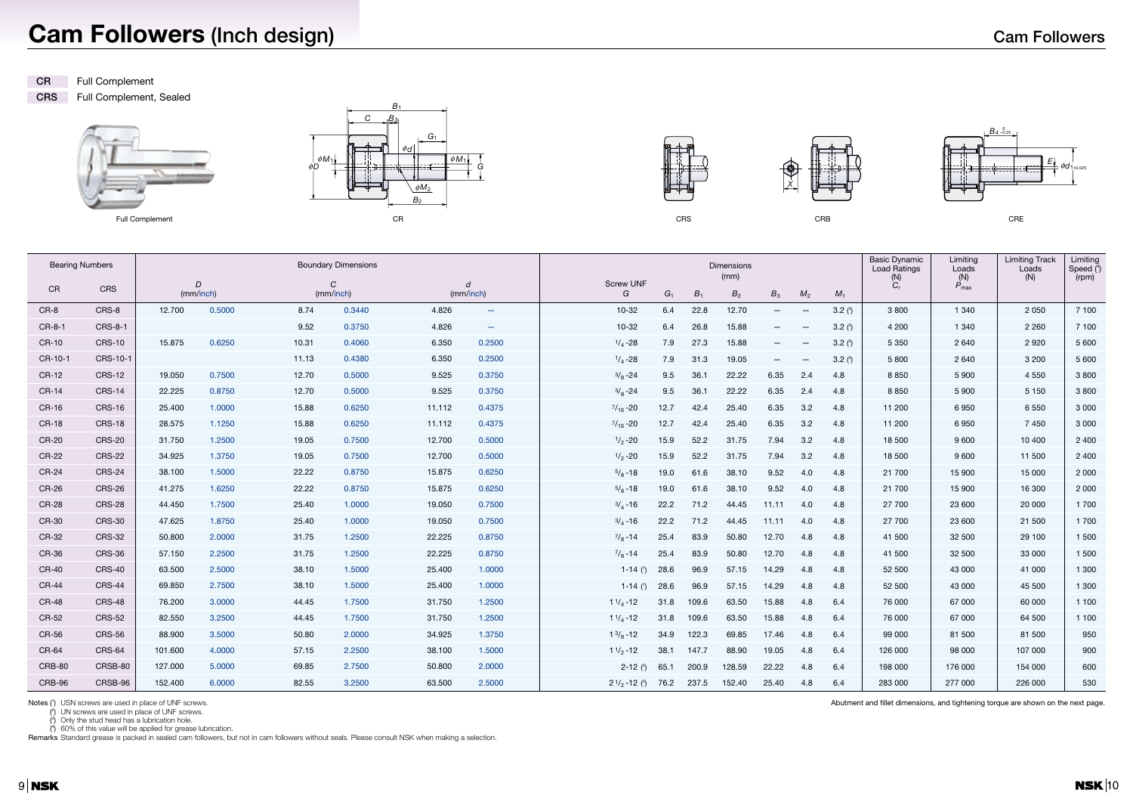## **Cam Followers (Inch design)**





(2) UN screws are used in place of UNF screws.

(3) Only the stud head has a lubrication hole.

 $(4)$  60% of this value will be applied for grease lubrication.

Remarks Standard grease is packed in sealed cam followers, but not in cam followers without seals. Please consult NSK when making a selection.



| ٠                 |  |
|-------------------|--|
|                   |  |
| ۰,<br>×<br>w<br>۹ |  |





**CR** Full Complement

**CRS** Full Complement, Sealed



| <b>Bearing Numbers</b> |               |         |                |       | <b>Boundary Dimensions</b> |        |                          |                                | Dimensions<br>(mm) |       |                |                          |                          |           |           | Limiting<br>Loads<br>(N) | <b>Limiting Track</b><br>Loads<br>(N) | Limiting<br>Speed $(4)$<br>(rpm) |
|------------------------|---------------|---------|----------------|-------|----------------------------|--------|--------------------------|--------------------------------|--------------------|-------|----------------|--------------------------|--------------------------|-----------|-----------|--------------------------|---------------------------------------|----------------------------------|
| CR                     | CRS           |         | D<br>(mm/inch) |       | C<br>(mm/inch)             |        | d<br>(mm/inch)           | <b>Screw UNF</b><br>G          | G <sub>1</sub>     | $B_1$ | B <sub>2</sub> | $B_3$                    | M <sub>2</sub>           | $M_1$     | (N)<br>C, | $P_{\text{max}}$         |                                       |                                  |
| CR-8                   | CRS-8         | 12.700  | 0.5000         | 8.74  | 0.3440                     | 4.826  | $\overline{\phantom{a}}$ | 10-32                          | 6.4                | 22.8  | 12.70          | $\overline{\phantom{m}}$ |                          | 3.2 $(°)$ | 3800      | 1 3 4 0                  | 2 0 5 0                               | 7 100                            |
| CR-8-1                 | CRS-8-1       |         |                | 9.52  | 0.3750                     | 4.826  | $\overline{\phantom{m}}$ | $10 - 32$                      | 6.4                | 26.8  | 15.88          | $\overline{\phantom{0}}$ | $\overline{\phantom{a}}$ | 3.2 $(3)$ | 4 200     | 1 3 4 0                  | 2 2 6 0                               | 7 100                            |
| CR-10                  | <b>CRS-10</b> | 15,875  | 0.6250         | 10.31 | 0.4060                     | 6.350  | 0.2500                   | $1/4 - 28$                     | 7.9                | 27.3  | 15.88          | $\overline{\phantom{0}}$ |                          | 3.2 $(3)$ | 5 3 5 0   | 2640                     | 2920                                  | 5 600                            |
| CR-10-1                | CRS-10-1      |         |                | 11.13 | 0.4380                     | 6.350  | 0.2500                   | $1/4 - 28$                     | 7.9                | 31.3  | 19.05          | $\overline{\phantom{m}}$ |                          | 3.2 $(°)$ | 5800      | 2 6 4 0                  | 3 2 0 0                               | 5 600                            |
| CR-12                  | <b>CRS-12</b> | 19.050  | 0.7500         | 12.70 | 0.5000                     | 9.525  | 0.3750                   | $^{3}/_{8}$ -24                | 9.5                | 36.1  | 22.22          | 6.35                     | 2.4                      | 4.8       | 8850      | 5 9 0 0                  | 4 5 5 0                               | 3800                             |
| CR-14                  | <b>CRS-14</b> | 22.225  | 0.8750         | 12.70 | 0.5000                     | 9.525  | 0.3750                   | $3/8 - 24$                     | 9.5                | 36.1  | 22.22          | 6.35                     | 2.4                      | 4.8       | 8850      | 5900                     | 5 1 5 0                               | 3800                             |
| CR-16                  | <b>CRS-16</b> | 25.400  | 1.0000         | 15.88 | 0.6250                     | 11.112 | 0.4375                   | $\frac{7}{16} - 20$            | 12.7               | 42.4  | 25.40          | 6.35                     | 3.2                      | 4.8       | 11 200    | 6950                     | 6 5 5 0                               | 3 0 0 0                          |
| CR-18                  | <b>CRS-18</b> | 28.575  | 1.1250         | 15.88 | 0.6250                     | 11.112 | 0.4375                   | $\frac{7}{16} - 20$            | 12.7               | 42.4  | 25.40          | 6.35                     | 3.2                      | 4.8       | 11 200    | 6950                     | 7450                                  | 3 0 0 0                          |
| CR-20                  | <b>CRS-20</b> | 31.750  | 1.2500         | 19.05 | 0.7500                     | 12.700 | 0.5000                   | $1/2 - 20$                     | 15.9               | 52.2  | 31.75          | 7.94                     | 3.2                      | 4.8       | 18 500    | 9600                     | 10 400                                | 2 4 0 0                          |
| CR-22                  | <b>CRS-22</b> | 34.925  | 1.3750         | 19.05 | 0.7500                     | 12.700 | 0.5000                   | $1/2 - 20$                     | 15.9               | 52.2  | 31.75          | 7.94                     | 3.2                      | 4.8       | 18 500    | 9 600                    | 11 500                                | 2 4 0 0                          |
| CR-24                  | <b>CRS-24</b> | 38.100  | 1.5000         | 22.22 | 0.8750                     | 15.875 | 0.6250                   | $5/8 - 18$                     | 19.0               | 61.6  | 38.10          | 9.52                     | 4.0                      | 4.8       | 21 700    | 15 900                   | 15 000                                | 2 0 0 0                          |
| CR-26                  | <b>CRS-26</b> | 41.275  | 1.6250         | 22.22 | 0.8750                     | 15.875 | 0.6250                   | $5/8 - 18$                     | 19.0               | 61.6  | 38.10          | 9.52                     | 4.0                      | 4.8       | 21 700    | 15 900                   | 16 300                                | 2 0 0 0                          |
| CR-28                  | <b>CRS-28</b> | 44.450  | 1.7500         | 25.40 | 1.0000                     | 19.050 | 0.7500                   | $3/4 - 16$                     | 22.2               | 71.2  | 44.45          | 11.11                    | 4.0                      | 4.8       | 27 700    | 23 600                   | 20 000                                | 1 700                            |
| CR-30                  | <b>CRS-30</b> | 47.625  | 1.8750         | 25.40 | 1.0000                     | 19.050 | 0.7500                   | $3/4 - 16$                     | 22.2               | 71.2  | 44.45          | 11.11                    | 4.0                      | 4.8       | 27 700    | 23 600                   | 21 500                                | 1 700                            |
| CR-32                  | <b>CRS-32</b> | 50.800  | 2.0000         | 31.75 | 1.2500                     | 22.225 | 0.8750                   | $^{7}/_8$ -14                  | 25.4               | 83.9  | 50.80          | 12.70                    | 4.8                      | 4.8       | 41 500    | 32 500                   | 29 100                                | 1 500                            |
| CR-36                  | <b>CRS-36</b> | 57.150  | 2.2500         | 31.75 | 1.2500                     | 22.225 | 0.8750                   | $^{7}/_8$ -14                  | 25.4               | 83.9  | 50.80          | 12.70                    | 4.8                      | 4.8       | 41 500    | 32 500                   | 33 000                                | 1 500                            |
| CR-40                  | <b>CRS-40</b> | 63.500  | 2.5000         | 38.10 | 1.5000                     | 25.400 | 1.0000                   | 1-14 $(')$                     | 28.6               | 96.9  | 57.15          | 14.29                    | 4.8                      | 4.8       | 52 500    | 43 000                   | 41 000                                | 1 300                            |
| CR-44                  | <b>CRS-44</b> | 69.850  | 2.7500         | 38.10 | 1.5000                     | 25.400 | 1.0000                   | 1-14 $(1)$                     | 28.6               | 96.9  | 57.15          | 14.29                    | 4.8                      | 4.8       | 52 500    | 43 000                   | 45 500                                | 1 300                            |
| CR-48                  | <b>CRS-48</b> | 76.200  | 3.0000         | 44.45 | 1.7500                     | 31.750 | 1.2500                   | $11/4 - 12$                    | 31.8               | 109.6 | 63.50          | 15.88                    | 4.8                      | 6.4       | 76 000    | 67 000                   | 60 000                                | 1 100                            |
| CR-52                  | <b>CRS-52</b> | 82.550  | 3.2500         | 44.45 | 1.7500                     | 31.750 | 1.2500                   | $11/4 - 12$                    | 31.8               | 109.6 | 63.50          | 15.88                    | 4.8                      | 6.4       | 76 000    | 67 000                   | 64 500                                | 1 100                            |
| CR-56                  | <b>CRS-56</b> | 88.900  | 3.5000         | 50.80 | 2.0000                     | 34.925 | 1.3750                   | $1\frac{3}{8}$ -12             | 34.9               | 122.3 | 69.85          | 17.46                    | 4.8                      | 6.4       | 99 000    | 81 500                   | 81 500                                | 950                              |
| CR-64                  | <b>CRS-64</b> | 101.600 | 4.0000         | 57.15 | 2.2500                     | 38.100 | 1.5000                   | $11/2 - 12$                    | 38.1               | 147.7 | 88.90          | 19.05                    | 4.8                      | 6.4       | 126 000   | 98 000                   | 107 000                               | 900                              |
| CRB-80                 | CRSB-80       | 127.000 | 5.0000         | 69.85 | 2.7500                     | 50.800 | 2.0000                   | 2-12 $(2)$                     | 65.1               | 200.9 | 128.59         | 22.22                    | 4.8                      | 6.4       | 198 000   | 176 000                  | 154 000                               | 600                              |
| CRB-96                 | CRSB-96       | 152.400 | 6.0000         | 82.55 | 3.2500                     | 63.500 | 2.5000                   | $2^{1/2}$ -12 ( <sup>2</sup> ) | 76.2               | 237.5 | 152.40         | 25.40                    | 4.8                      | 6.4       | 283 000   | 277 000                  | 226 000                               | 530                              |

Notes (1) USN screws are used in place of UNF screws.

Abutment and fillet dimensions, and tightening torque are shown on the next page.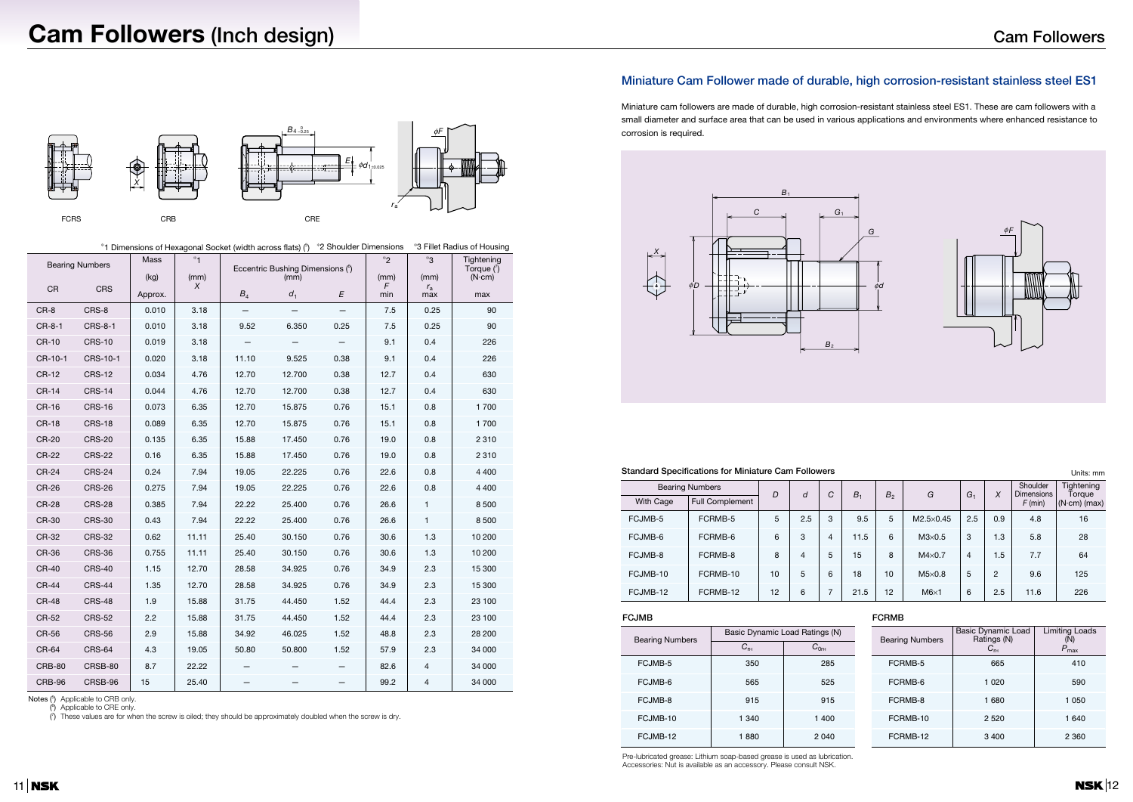#### **Standard Specifications for Miniature Cam Followers**

| Units: mm |  |
|-----------|--|
|-----------|--|

#### **FCJMB FCRMB**

Pre-lubricated grease: Lithium soap-based grease is used as lubrication. Accessories: Nut is available as an accessory. Please consult NSK.

### **Miniature Cam Follower made of durable, high corrosion-resistant stainless steel ES1**

Miniature cam followers are made of durable, high corrosion-resistant stainless steel ES1. These are cam followers with a small diameter and surface area that can be used in various applications and environments where enhanced resistance to corrosion is required.





| <b>Bearing Numbers</b> |                        | $\overline{D}$ | d   | ⌒ | B <sub>1</sub> | B <sub>2</sub> | G                  | G <sub>1</sub> | X   | Shoulder<br><b>Dimensions</b> | Tightening<br>Toraue |
|------------------------|------------------------|----------------|-----|---|----------------|----------------|--------------------|----------------|-----|-------------------------------|----------------------|
| <b>With Cage</b>       | <b>Full Complement</b> |                |     | Ō |                |                |                    |                |     | $F$ (min)                     | $(N \cdot cm)$ (max) |
| FCJMB-5                | FCRMB-5                | 5              | 2.5 | 3 | 9.5            | 5              | $M2.5 \times 0.45$ | 2.5            | 0.9 | 4.8                           | 16                   |
| FCJMB-6                | FCRMB-6                | 6              | 3   | 4 | 11.5           | 6              | $M3\times0.5$      | 3              | 1.3 | 5.8                           | 28                   |
| FCJMB-8                | FCRMB-8                | 8              | 4   | 5 | 15             | 8              | $M4\times0.7$      | $\overline{4}$ | 1.5 | 7.7                           | 64                   |
| FCJMB-10               | FCRMB-10               | 10             | 5   | 6 | 18             | 10             | $M5\times0.8$      | 5              | 2   | 9.6                           | 125                  |
| FCJMB-12               | FCRMB-12               | 12             | 6   |   | 21.5           | 12             | $M6\times1$        | 6              | 2.5 | 11.6                          | 226                  |



|               | <b>Bearing Numbers</b> | Mass            | $*_{1}$        |       | Eccentric Bushing Dimensions (6) |      |                  | *3                         | Tightening<br>Torque $(\bar{$ }) |
|---------------|------------------------|-----------------|----------------|-------|----------------------------------|------|------------------|----------------------------|----------------------------------|
| ${\sf CR}$    | <b>CRS</b>             | (kg)<br>Approx. | (mm)<br>$\chi$ | $B_4$ | (mm)<br>d <sub>1</sub>           | E    | (mm)<br>F<br>min | (mm)<br>$r_{\rm a}$<br>max | $(N \cdot cm)$<br>max            |
| $CR-8$        | CRS-8                  | 0.010           | 3.18           |       |                                  |      | 7.5              | 0.25                       | 90                               |
| CR-8-1        | <b>CRS-8-1</b>         | 0.010           | 3.18           | 9.52  | 6.350                            | 0.25 | 7.5              | 0.25                       | 90                               |
| CR-10         | <b>CRS-10</b>          | 0.019           | 3.18           |       |                                  |      | 9.1              | 0.4                        | 226                              |
| CR-10-1       | CRS-10-1               | 0.020           | 3.18           | 11.10 | 9.525                            | 0.38 | 9.1              | 0.4                        | 226                              |
| <b>CR-12</b>  | <b>CRS-12</b>          | 0.034           | 4.76           | 12.70 | 12.700                           | 0.38 | 12.7             | 0.4                        | 630                              |
| <b>CR-14</b>  | <b>CRS-14</b>          | 0.044           | 4.76           | 12.70 | 12.700                           | 0.38 | 12.7             | 0.4                        | 630                              |
| <b>CR-16</b>  | <b>CRS-16</b>          | 0.073           | 6.35           | 12.70 | 15.875                           | 0.76 | 15.1             | 0.8                        | 1700                             |
| <b>CR-18</b>  | <b>CRS-18</b>          | 0.089           | 6.35           | 12.70 | 15.875                           | 0.76 | 15.1             | 0.8                        | 1 700                            |
| CR-20         | <b>CRS-20</b>          | 0.135           | 6.35           | 15.88 | 17.450                           | 0.76 | 19.0             | 0.8                        | 2 3 1 0                          |
| <b>CR-22</b>  | <b>CRS-22</b>          | 0.16            | 6.35           | 15.88 | 17.450                           | 0.76 | 19.0             | 0.8                        | 2 3 1 0                          |
| <b>CR-24</b>  | <b>CRS-24</b>          | 0.24            | 7.94           | 19.05 | 22.225                           | 0.76 | 22.6             | 0.8                        | 4 4 0 0                          |
| <b>CR-26</b>  | <b>CRS-26</b>          | 0.275           | 7.94           | 19.05 | 22.225                           | 0.76 | 22.6             | 0.8                        | 4 4 0 0                          |
| <b>CR-28</b>  | <b>CRS-28</b>          | 0.385           | 7.94           | 22.22 | 25.400                           | 0.76 | 26.6             | $\mathbf{1}$               | 8 500                            |
| CR-30         | <b>CRS-30</b>          | 0.43            | 7.94           | 22.22 | 25.400                           | 0.76 | 26.6             | $\mathbf{1}$               | 8 5 0 0                          |
| CR-32         | <b>CRS-32</b>          | 0.62            | 11.11          | 25.40 | 30.150                           | 0.76 | 30.6             | 1.3                        | 10 200                           |
| CR-36         | <b>CRS-36</b>          | 0.755           | 11.11          | 25.40 | 30.150                           | 0.76 | 30.6             | 1.3                        | 10 200                           |
| CR-40         | <b>CRS-40</b>          | 1.15            | 12.70          | 28.58 | 34.925                           | 0.76 | 34.9             | 2.3                        | 15 300                           |
| <b>CR-44</b>  | <b>CRS-44</b>          | 1.35            | 12.70          | 28.58 | 34.925                           | 0.76 | 34.9             | 2.3                        | 15 300                           |
| <b>CR-48</b>  | <b>CRS-48</b>          | 1.9             | 15.88          | 31.75 | 44.450                           | 1.52 | 44.4             | 2.3                        | 23 100                           |
| CR-52         | <b>CRS-52</b>          | 2.2             | 15.88          | 31.75 | 44.450                           | 1.52 | 44.4             | 2.3                        | 23 100                           |
| CR-56         | <b>CRS-56</b>          | 2.9             | 15.88          | 34.92 | 46.025                           | 1.52 | 48.8             | 2.3                        | 28 200                           |
| CR-64         | <b>CRS-64</b>          | 4.3             | 19.05          | 50.80 | 50.800                           | 1.52 | 57.9             | 2.3                        | 34 000                           |
| <b>CRB-80</b> | CRSB-80                | 8.7             | 22.22          |       |                                  |      | 82.6             | $\overline{4}$             | 34 000                           |
| CRB-96        | CRSB-96                | 15              | 25.40          |       |                                  |      | 99.2             | 4                          | 34 000                           |

Notes (5) Applicable to CRB only.

(6) Applicable to CRE only.

(7) These values are for when the screw is oiled; they should be approximately doubled when the screw is dry.

| <b>Bearing Numbers</b> | Basic Dynamic Load Ratings (N) |          |
|------------------------|--------------------------------|----------|
|                        | $C_{\text{rH}}$                | $C_{0r}$ |
| FCJMB-5                | 350                            | 285      |
| FCJMB-6                | 565                            | 525      |
| FCJMB-8                | 915                            | 915      |
| FCJMB-10               | 1 340                          | 1400     |
| FCJMB-12               | 1880                           | 2040     |

| <b>Bearing Numbers</b> | <b>Basic Dynamic Load</b><br>Ratings (N)<br>$\mathsf{C}_{\mathsf{r}\mathsf{H}}$ | <b>Limiting Loads</b><br>(N)<br>$P_{\text{max}}$ |
|------------------------|---------------------------------------------------------------------------------|--------------------------------------------------|
| FCRMB-5                | 665                                                                             | 410                                              |
| FCRMB-6                | 1 0 2 0                                                                         | 590                                              |
| FCRMB-8                | 1 680                                                                           | 1 0 5 0                                          |
| FCRMB-10               | 2 5 2 0                                                                         | 1 640                                            |
| FCRMB-12               | 3 4 0 0                                                                         | 2 3 6 0                                          |

✻1 Dimensions of Hexagonal Socket (width across flats) (5) ✻2 Shoulder Dimensions ✻3 Fillet Radius of Housing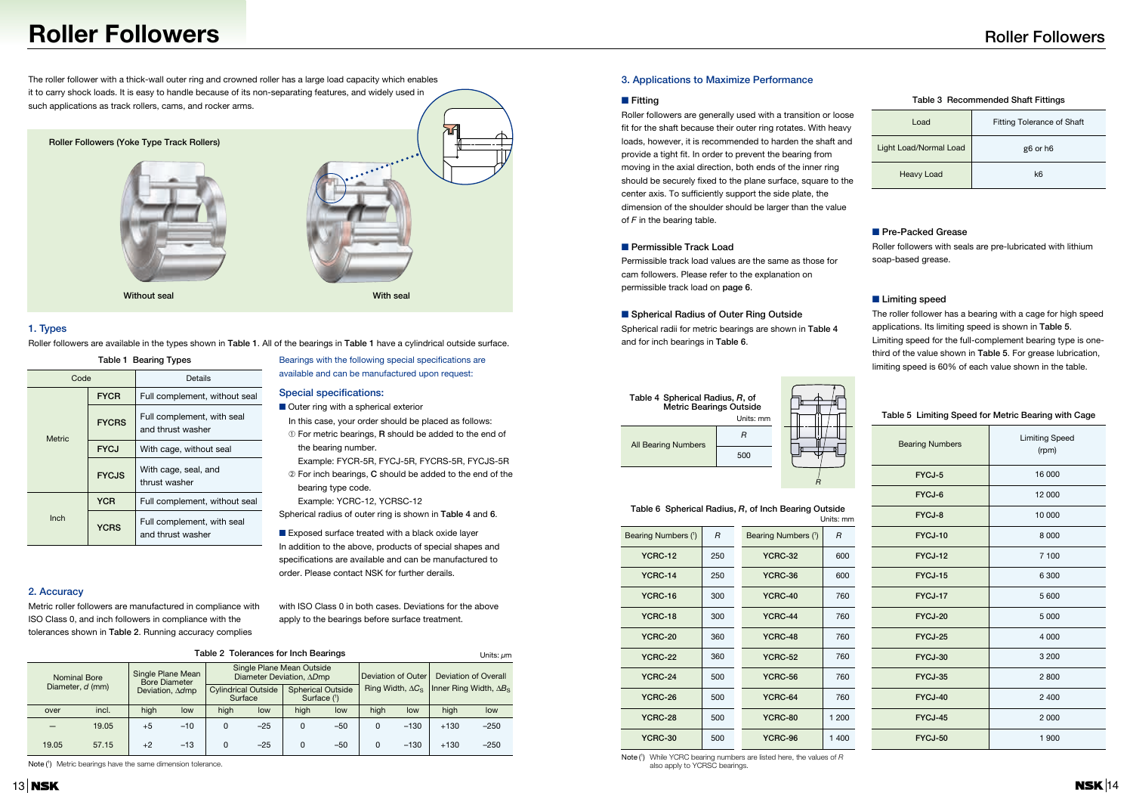## **Roller Followers**

The roller follower with a thick-wall outer ring and crowned roller has a large load capacity which enables it to carry shock loads. It is easy to handle because of its non-separating features, and widely used in such applications as track rollers, cams, and rocker arms.

> Bearings with the following special specifications are available and can be manufactured upon request:

#### **1. Types**

Roller followers are available in the types shown in **Table 1**. All of the bearings in **Table 1** have a cylindrical outside surface.

- Outer ring with a spherical exterior
- In this case, your order should be placed as follows:
- ➀ For metric bearings, **R** should be added to the end of the bearing number.
- Example: FYCR-5R, FYCJ-5R, FYCRS-5R, FYCJS-5R ➁ For inch bearings, **C** should be added to the end of the
- bearing type code.

■ Exposed surface treated with a black oxide layer In addition to the above, products of special shapes and specifications are available and can be manufactured to order. Please contact NSK for further derails.

#### **Special specifications:**

Example: YCRC-12, YCRSC-12

Spherical radius of outer ring is shown in **Table 4** and **6**.

#### **2. Accuracy**

Metric roller followers are manufactured in compliance with ISO Class 0, and inch followers in compliance with the tolerances shown in **Table 2**. Running accuracy complies

with ISO Class 0 in both cases. Deviations for the above apply to the bearings before surface treatment.

#### **3. Applications to Maximize Performance**

#### ■ **Fitting**



Roller followers are generally used with a transition or loose fit for the shaft because their outer ring rotates. With heavy loads, however, it is recommended to harden the shaft and provide a tight fit. In order to prevent the bearing from moving in the axial direction, both ends of the inner ring should be securely fixed to the plane surface, square to the center axis. To sufficiently support the side plate, the dimension of the shoulder should be larger than the value of *F* in the bearing table.

#### ■ **Permissible Track Load**

Permissible track load values are the same as those for cam followers. Please refer to the explanation on permissible track load on **page 6**.

#### ■ **Spherical Radius of Outer Ring Outside**

Spherical radii for metric bearings are shown in **Table 4** and for inch bearings in **Table 6**.

#### **Table 3 Recommended Shaft Fittings**

### ■ **Pre-Packed Grease**

Roller followers with seals are pre-lubricated with lithium soap-based grease.

### ■ Limiting speed

|                     |       |       |      |                                           | Table 2 Tolerances for Inch Bearings  |       |                                                       |       |                                |        |                                      | Units: um |  |
|---------------------|-------|-------|------|-------------------------------------------|---------------------------------------|-------|-------------------------------------------------------|-------|--------------------------------|--------|--------------------------------------|-----------|--|
| <b>Nominal Bore</b> |       |       |      | Single Plane Mean<br><b>Bore Diameter</b> |                                       |       | Single Plane Mean Outside<br>Diameter Deviation, ADmp |       | Deviation of Outer             |        | Deviation of Overall                 |           |  |
| Diameter, d (mm)    |       |       |      | Deviation, $\Delta d$ mp                  | <b>Cylindrical Outside</b><br>Surface |       | <b>Spherical Outside</b><br>Surface $(1)$             |       | Ring Width, $\Delta C_{\rm S}$ |        | Inner Ring Width, $\Delta B_{\rm S}$ |           |  |
|                     | over  | incl. | high | low                                       | high                                  | low   | high                                                  | low   | high                           | low    | high                                 | low       |  |
|                     |       | 19.05 | $+5$ | $-10$                                     | $\Omega$                              | $-25$ | 0                                                     | $-50$ | 0                              | $-130$ | $+130$                               | $-250$    |  |
|                     | 19.05 | 57.15 | $+2$ | $-13$                                     | $\Omega$                              | $-25$ | 0                                                     | -50   | $\Omega$                       | $-130$ | $+130$                               | $-250$    |  |

Note (1) Metric bearings have the same dimension tolerance.

The roller follower has a bearing with a cage for high speed applications. Its limiting speed is shown in **Table 5**. Limiting speed for the full-complement bearing type is onethird of the value shown in **Table 5**. For grease lubrication, limiting speed is 60% of each value shown in the table.



Note (1) While YCRC bearing numbers are listed here, the values of *R* also apply to YCRSC bearings.

| <b>Table 1 Bearing Types</b> |              |                                                 |  |  |  |  |  |
|------------------------------|--------------|-------------------------------------------------|--|--|--|--|--|
| Code                         |              | Details                                         |  |  |  |  |  |
|                              | <b>FYCR</b>  | Full complement, without seal                   |  |  |  |  |  |
| <b>Metric</b>                | <b>FYCRS</b> | Full complement, with seal<br>and thrust washer |  |  |  |  |  |
|                              | <b>FYCJ</b>  | With cage, without seal                         |  |  |  |  |  |
|                              | <b>FYCJS</b> | With cage, seal, and<br>thrust washer           |  |  |  |  |  |
|                              | <b>YCR</b>   | Full complement, without seal                   |  |  |  |  |  |
| Inch                         | <b>YCRS</b>  | Full complement, with seal<br>and thrust washer |  |  |  |  |  |



| Bearing Numbers (1) | R   | Bearing Numbers (1) | R     |
|---------------------|-----|---------------------|-------|
| <b>YCRC-12</b>      | 250 | <b>YCRC-32</b>      | 600   |
| YCRC-14             | 250 | YCRC-36             | 600   |
| YCRC-16             | 300 | YCRC-40             | 760   |
| YCRC-18             | 300 | YCRC-44             | 760   |
| <b>YCRC-20</b>      | 360 | YCRC-48             | 760   |
| <b>YCRC-22</b>      | 360 | <b>YCRC-52</b>      | 760   |
| YCRC-24             | 500 | <b>YCRC-56</b>      | 760   |
| YCRC-26             | 500 | YCRC-64             | 760   |
| YCRC-28             | 500 | YCRC-80             | 1 200 |
| <b>YCRC-30</b>      | 500 | YCRC-96             | 1400  |

#### **Table 6 Spherical Radius,** *R***, of Inch Bearing Outside** Units: mm

| <b>Bearing Numbers</b> | <b>Limiting Speed</b><br>(rpm) |
|------------------------|--------------------------------|
| FYCJ-5                 | 16 000                         |
| FYCJ-6                 | 12 000                         |
| FYCJ-8                 | 10 000                         |
| FYCJ-10                | 8 0 0 0                        |
| FYCJ-12                | 7 100                          |
| FYCJ-15                | 6 3 0 0                        |
| FYCJ-17                | 5600                           |
| FYCJ-20                | 5 0 0 0                        |
| FYCJ-25                | 4 0 0 0                        |
| FYCJ-30                | 3 200                          |
| FYCJ-35                | 2800                           |
| FYCJ-40                | 2 4 0 0                        |
| FYCJ-45                | 2 0 0 0                        |
| FYCJ-50                | 1 900                          |

### Units: mm **Table 5 Limiting Speed for Metric Bearing with Cage**

| Load                   | <b>Fitting Tolerance of Shaft</b> |
|------------------------|-----------------------------------|
| Light Load/Normal Load | g <sub>6</sub> or h <sub>6</sub>  |
| <b>Heavy Load</b>      | k6                                |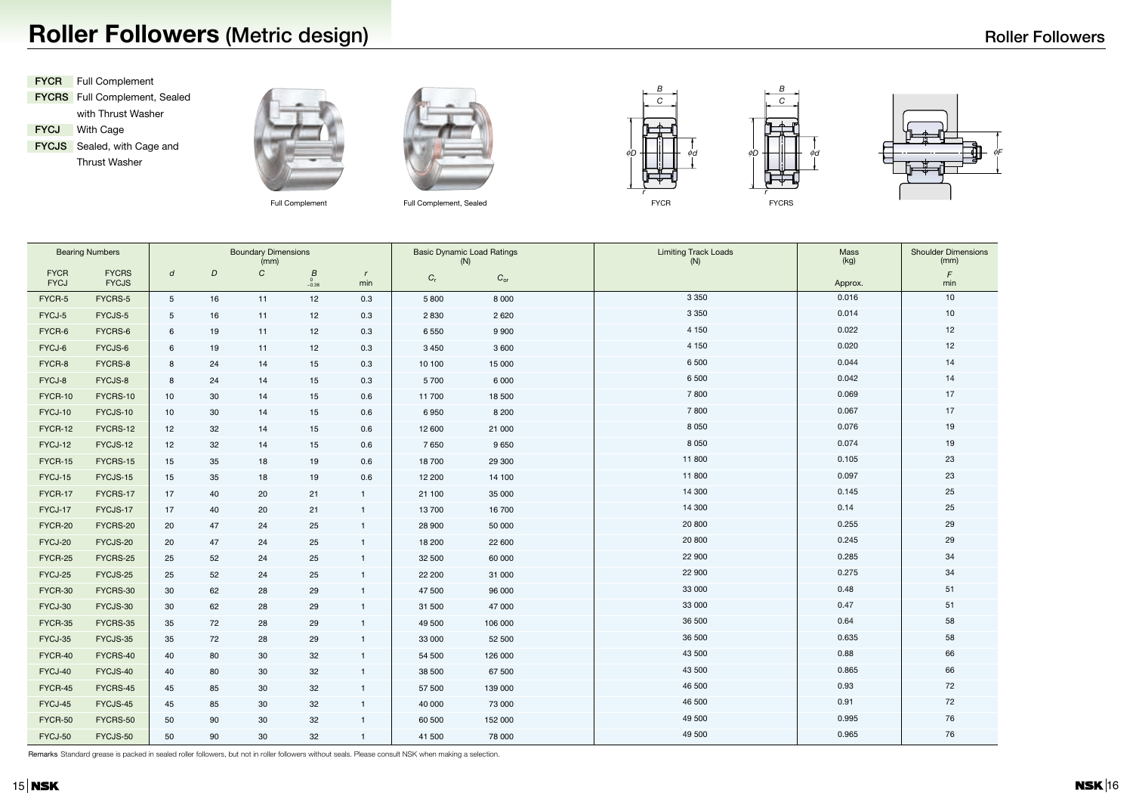# **Roller Followers (Metric design)**

|                            | <b>Bearing Numbers</b>       |                |    | <b>Boundary Dimensions</b><br>(mm) |                     |                     |             | <b>Basic Dynamic Load Ratings</b><br><b>Limiting Track Loads</b><br>(N)<br>(N) |         | Mass<br>(kg) | <b>Shoulder Dimensions</b><br>(mm) |
|----------------------------|------------------------------|----------------|----|------------------------------------|---------------------|---------------------|-------------|--------------------------------------------------------------------------------|---------|--------------|------------------------------------|
| <b>FYCR</b><br><b>FYCJ</b> | <b>FYCRS</b><br><b>FYCJS</b> | d              | D  | $\mathcal{C}$                      | В<br>$_{-0.38}^{0}$ | $\mathsf{r}$<br>min | $C_{\rm r}$ | $C_{\rm or}$                                                                   |         | Approx.      | F<br>min                           |
| FYCR-5                     | FYCRS-5                      | 5 <sup>5</sup> | 16 | 11                                 | 12                  | 0.3                 | 5 800       | 8 0 0 0                                                                        | 3 3 5 0 | 0.016        | 10                                 |
| FYCJ-5                     | FYCJS-5                      | 5 <sub>5</sub> | 16 | 11                                 | 12                  | 0.3                 | 2 8 3 0     | 2 6 2 0                                                                        | 3 3 5 0 | 0.014        | 10                                 |
| FYCR-6                     | FYCRS-6                      | 6              | 19 | 11                                 | 12                  | 0.3                 | 6 5 5 0     | 9 9 0 0                                                                        | 4 150   | 0.022        | 12                                 |
| FYCJ-6                     | FYCJS-6                      | 6              | 19 | 11                                 | 12                  | 0.3                 | 3 4 5 0     | 3600                                                                           | 4 150   | 0.020        | 12                                 |
| FYCR-8                     | FYCRS-8                      | 8              | 24 | 14                                 | 15                  | 0.3                 | 10 100      | 15 000                                                                         | 6 500   | 0.044        | 14                                 |
| FYCJ-8                     | FYCJS-8                      | 8              | 24 | 14                                 | 15                  | 0.3                 | 5700        | 6 0 0 0                                                                        | 6 500   | 0.042        | 14                                 |
| FYCR-10                    | FYCRS-10                     | 10             | 30 | 14                                 | 15                  | 0.6                 | 11 700      | 18 500                                                                         | 7800    | 0.069        | 17                                 |
| FYCJ-10                    | FYCJS-10                     | 10             | 30 | 14                                 | 15                  | 0.6                 | 6950        | 8 2 0 0                                                                        | 7800    | 0.067        | 17                                 |
| FYCR-12                    | FYCRS-12                     | 12             | 32 | 14                                 | 15                  | 0.6                 | 12 600      | 21 000                                                                         | 8 0 5 0 | 0.076        | 19                                 |
| FYCJ-12                    | FYCJS-12                     | 12             | 32 | 14                                 | 15                  | 0.6                 | 7650        | 9650                                                                           | 8 0 5 0 | 0.074        | 19                                 |
| FYCR-15                    | FYCRS-15                     | 15             | 35 | 18                                 | 19                  | 0.6                 | 18 700      | 29 300                                                                         | 11 800  | 0.105        | 23                                 |
| FYCJ-15                    | FYCJS-15                     | 15             | 35 | 18                                 | 19                  | 0.6                 | 12 200      | 14 100                                                                         | 11 800  | 0.097        | 23                                 |
| FYCR-17                    | FYCRS-17                     | 17             | 40 | 20                                 | 21                  | $\mathbf{1}$        | 21 100      | 35 000                                                                         | 14 300  | 0.145        | 25                                 |
| FYCJ-17                    | FYCJS-17                     | 17             | 40 | 20                                 | 21                  | $\mathbf{1}$        | 13700       | 16700                                                                          | 14 300  | 0.14         | 25                                 |
| FYCR-20                    | FYCRS-20                     | 20             | 47 | 24                                 | 25                  | $\overline{1}$      | 28 900      | 50 000                                                                         | 20 800  | 0.255        | 29                                 |
| FYCJ-20                    | FYCJS-20                     | 20             | 47 | 24                                 | 25                  | $\overline{1}$      | 18 200      | 22 600                                                                         | 20 800  | 0.245        | 29                                 |
| FYCR-25                    | FYCRS-25                     | 25             | 52 | 24                                 | 25                  | -1                  | 32 500      | 60 000                                                                         | 22 900  | 0.285        | 34                                 |
| FYCJ-25                    | FYCJS-25                     | 25             | 52 | 24                                 | 25                  | $\mathbf{1}$        | 22 200      | 31 000                                                                         | 22 900  | 0.275        | 34                                 |
| FYCR-30                    | FYCRS-30                     | 30             | 62 | 28                                 | 29                  | $\overline{1}$      | 47 500      | 96 000                                                                         | 33 000  | 0.48         | 51                                 |
| FYCJ-30                    | FYCJS-30                     | 30             | 62 | 28                                 | 29                  | -1                  | 31 500      | 47 000                                                                         | 33 000  | 0.47         | 51                                 |
| FYCR-35                    | FYCRS-35                     | 35             | 72 | 28                                 | 29                  | $\mathbf{1}$        | 49 500      | 106 000                                                                        | 36 500  | 0.64         | 58                                 |
| FYCJ-35                    | FYCJS-35                     | 35             | 72 | 28                                 | 29                  | $\overline{1}$      | 33 000      | 52 500                                                                         | 36 500  | 0.635        | 58                                 |
| FYCR-40                    | FYCRS-40                     | 40             | 80 | 30                                 | 32                  | -1                  | 54 500      | 126 000                                                                        | 43 500  | 0.88         | 66                                 |
| FYCJ-40                    | FYCJS-40                     | 40             | 80 | 30                                 | 32                  | $\mathbf{1}$        | 38 500      | 67 500                                                                         | 43 500  | 0.865        | 66                                 |
| FYCR-45                    | FYCRS-45                     | 45             | 85 | 30                                 | 32                  | $\mathbf{1}$        | 57 500      | 139 000                                                                        | 46 500  | 0.93         | 72                                 |
| FYCJ-45                    | FYCJS-45                     | 45             | 85 | 30                                 | 32                  | $\mathbf{1}$        | 40 000      | 73 000                                                                         | 46 500  | 0.91         | 72                                 |
| FYCR-50                    | FYCRS-50                     | 50             | 90 | 30                                 | 32                  |                     | 60 500      | 152 000                                                                        | 49 500  | 0.995        | 76                                 |
| FYCJ-50                    | FYCJS-50                     | 50             | 90 | 30 <sub>o</sub>                    | 32                  | $\mathbf{1}$        | 41 500      | 78 000                                                                         | 49 500  | 0.965        | 76                                 |

Remarks Standard grease is packed in sealed roller followers, but not in roller followers without seals. Please consult NSK when making a selection.

**FYCR** Full Complement **FYCRS** Full Complement, Sealed with Thrust Washer **FYCJ** With Cage **FYCJS** Sealed, with Cage and Thrust Washer





Full Complement Full Complement, Sealed



*B*



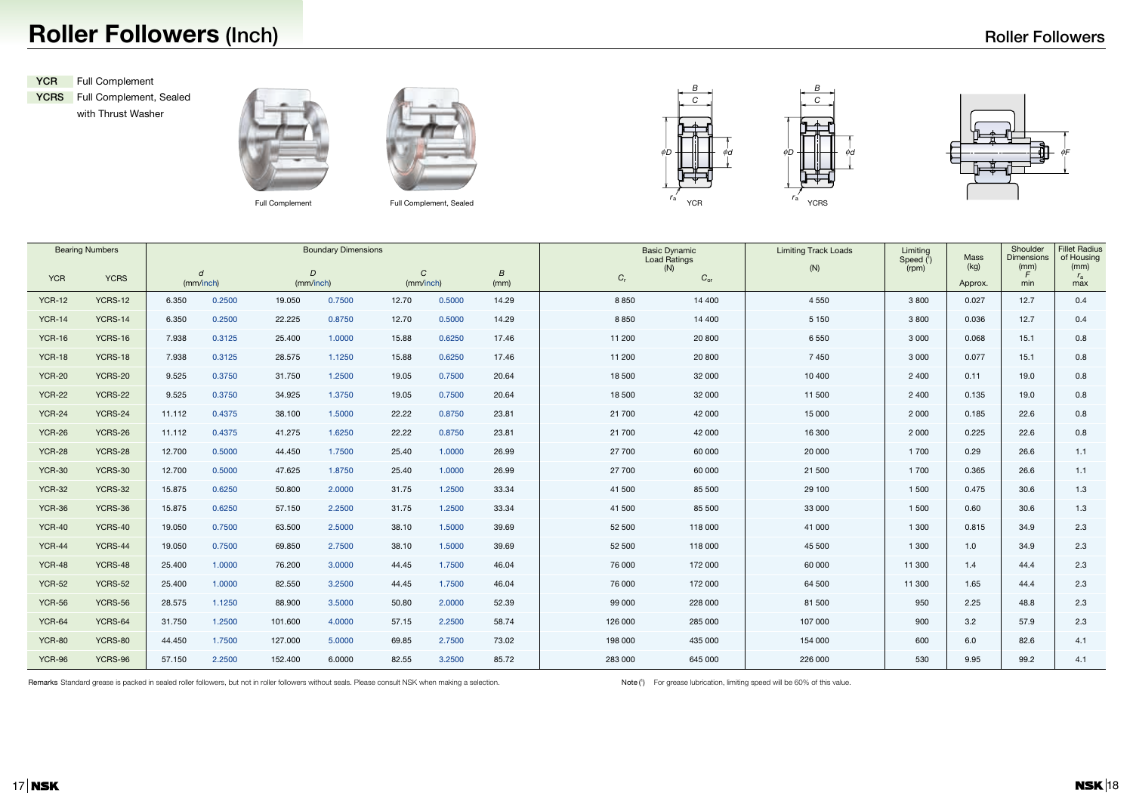## **Roller Followers (Inch)**

**YCRS** Full Complement, Sealed with Thrust Washer





Full Complement Full Complement, Sealed

|               | <b>Bearing Numbers</b> | <b>Boundary Dimensions</b> |                               |                             |        |                            |        |                          |             | <b>Basic Dynamic</b><br>Load Ratings | <b>Limiting Track Loads</b> | Limiting<br>Speed $(1)$ | <b>Mass</b>     | Shoulder<br>Dimensions       | <b>Fillet Ra</b><br>of Hou<br>(mm) |
|---------------|------------------------|----------------------------|-------------------------------|-----------------------------|--------|----------------------------|--------|--------------------------|-------------|--------------------------------------|-----------------------------|-------------------------|-----------------|------------------------------|------------------------------------|
| <b>YCR</b>    | <b>YCRS</b>            |                            | $\boldsymbol{d}$<br>(mm/inch) | $\overline{D}$<br>(mm/inch) |        | $\mathcal{C}$<br>(mm/inch) |        | $\boldsymbol{B}$<br>(mm) | $C_{\rm r}$ | (N)<br>$C_{\text{or}}$               | (N)                         | (rpm)                   | (kg)<br>Approx. | (mm)<br>$\mathcal{F}$<br>min | $r_{\rm a}$<br>max                 |
| <b>YCR-12</b> | YCRS-12                | 6.350                      | 0.2500                        | 19.050                      | 0.7500 | 12.70                      | 0.5000 | 14.29                    | 8 8 5 0     | 14 400                               | 4 5 5 0                     | 3 8 0 0                 | 0.027           | 12.7                         | 0.4                                |
| <b>YCR-14</b> | YCRS-14                | 6.350                      | 0.2500                        | 22.225                      | 0.8750 | 12.70                      | 0.5000 | 14.29                    | 8 8 5 0     | 14 400                               | 5 1 5 0                     | 3 8 0 0                 | 0.036           | 12.7                         | 0.4                                |
| <b>YCR-16</b> | <b>YCRS-16</b>         | 7.938                      | 0.3125                        | 25.400                      | 1.0000 | 15.88                      | 0.6250 | 17.46                    | 11 200      | 20 800                               | 6 5 5 0                     | 3 0 0 0                 | 0.068           | 15.1                         | 0.8                                |
| <b>YCR-18</b> | YCRS-18                | 7.938                      | 0.3125                        | 28.575                      | 1.1250 | 15.88                      | 0.6250 | 17.46                    | 11 200      | 20 800                               | 7 4 5 0                     | 3 0 0 0                 | 0.077           | 15.1                         | 0.8                                |
| <b>YCR-20</b> | <b>YCRS-20</b>         | 9.525                      | 0.3750                        | 31.750                      | 1.2500 | 19.05                      | 0.7500 | 20.64                    | 18 500      | 32 000                               | 10 400                      | 2 4 0 0                 | 0.11            | 19.0                         | 0.8                                |
| <b>YCR-22</b> | <b>YCRS-22</b>         | 9.525                      | 0.3750                        | 34.925                      | 1.3750 | 19.05                      | 0.7500 | 20.64                    | 18 500      | 32 000                               | 11 500                      | 2 4 0 0                 | 0.135           | 19.0                         | 0.8                                |
| <b>YCR-24</b> | <b>YCRS-24</b>         | 11.112                     | 0.4375                        | 38.100                      | 1.5000 | 22.22                      | 0.8750 | 23.81                    | 21 700      | 42 000                               | 15 000                      | 2 0 0 0                 | 0.185           | 22.6                         | 0.8                                |
| <b>YCR-26</b> | <b>YCRS-26</b>         | 11.112                     | 0.4375                        | 41.275                      | 1.6250 | 22.22                      | 0.8750 | 23.81                    | 21 700      | 42 000                               | 16 300                      | 2 0 0 0                 | 0.225           | 22.6                         | 0.8                                |
| <b>YCR-28</b> | <b>YCRS-28</b>         | 12.700                     | 0.5000                        | 44.450                      | 1.7500 | 25.40                      | 1.0000 | 26.99                    | 27 700      | 60 000                               | 20 000                      | 1 700                   | 0.29            | 26.6                         | 1.1                                |
| <b>YCR-30</b> | <b>YCRS-30</b>         | 12.700                     | 0.5000                        | 47.625                      | 1.8750 | 25.40                      | 1.0000 | 26.99                    | 27 700      | 60 000                               | 21 500                      | 1 700                   | 0.365           | 26.6                         | 1.1                                |
| <b>YCR-32</b> | <b>YCRS-32</b>         | 15.875                     | 0.6250                        | 50.800                      | 2.0000 | 31.75                      | 1.2500 | 33.34                    | 41 500      | 85 500                               | 29 100                      | 1 500                   | 0.475           | 30.6                         | 1.3                                |
| <b>YCR-36</b> | YCRS-36                | 15.875                     | 0.6250                        | 57.150                      | 2.2500 | 31.75                      | 1.2500 | 33.34                    | 41 500      | 85 500                               | 33 000                      | 1 500                   | 0.60            | 30.6                         | 1.3                                |
| <b>YCR-40</b> | YCRS-40                | 19.050                     | 0.7500                        | 63.500                      | 2.5000 | 38.10                      | 1.5000 | 39.69                    | 52 500      | 118 000                              | 41 000                      | 1 300                   | 0.815           | 34.9                         | 2.3                                |
| <b>YCR-44</b> | YCRS-44                | 19.050                     | 0.7500                        | 69.850                      | 2.7500 | 38.10                      | 1.5000 | 39.69                    | 52 500      | 118 000                              | 45 500                      | 1 300                   | 1.0             | 34.9                         | 2.3                                |
| <b>YCR-48</b> | YCRS-48                | 25.400                     | 1.0000                        | 76.200                      | 3.0000 | 44.45                      | 1.7500 | 46.04                    | 76 000      | 172 000                              | 60 000                      | 11 300                  | 1.4             | 44.4                         | 2.3                                |
| <b>YCR-52</b> | YCRS-52                | 25.400                     | 1.0000                        | 82.550                      | 3.2500 | 44.45                      | 1.7500 | 46.04                    | 76 000      | 172 000                              | 64 500                      | 11 300                  | 1.65            | 44.4                         | 2.3                                |
| <b>YCR-56</b> | YCRS-56                | 28.575                     | 1.1250                        | 88.900                      | 3.5000 | 50.80                      | 2.0000 | 52.39                    | 99 000      | 228 000                              | 81 500                      | 950                     | 2.25            | 48.8                         | 2.3                                |
| <b>YCR-64</b> | YCRS-64                | 31.750                     | 1.2500                        | 101.600                     | 4.0000 | 57.15                      | 2.2500 | 58.74                    | 126 000     | 285 000                              | 107 000                     | 900                     | 3.2             | 57.9                         | 2.3                                |
| <b>YCR-80</b> | <b>YCRS-80</b>         | 44.450                     | 1.7500                        | 127.000                     | 5.0000 | 69.85                      | 2.7500 | 73.02                    | 198 000     | 435 000                              | 154 000                     | 600                     | 6.0             | 82.6                         | 4.1                                |
| <b>YCR-96</b> | YCRS-96                | 57.150                     | 2.2500                        | 152.400                     | 6.0000 | 82.55                      | 3.2500 | 85.72                    | 283 000     | 645 000                              | 226 000                     | 530                     | 9.95            | 99.2                         | 4.1                                |

Remarks Standard grease is packed in sealed roller followers, but not in roller followers without seals. Please consult NSK when making a selection.

Note (1) For grease lubrication, limiting speed will be 60% of this value.





**YCR** Full Complement

| Limiting<br>Speed $\binom{1}{1}$<br>(rpm) | <b>Mass</b><br>(kg) | Shoulder<br><b>Dimensions</b><br>(mm)<br>F | <b>Fillet Radius</b><br>of Housing<br>(mm)<br>$r_{\rm a}$ |
|-------------------------------------------|---------------------|--------------------------------------------|-----------------------------------------------------------|
|                                           | Approx.             | min                                        | max                                                       |
| 3800                                      | 0.027               | 12.7                                       | 0.4                                                       |
| 3800                                      | 0.036               | 12.7                                       | 0.4                                                       |
| 3 0 0 0                                   | 0.068               | 15.1                                       | 0.8                                                       |
| 3 0 0 0                                   | 0.077               | 15.1                                       | 0.8                                                       |
| 2 400                                     | 0.11                | 19.0                                       | 0.8                                                       |
| 2 4 0 0                                   | 0.135               | 19.0                                       | 0.8                                                       |
| 2 0 0 0                                   | 0.185               | 22.6                                       | 0.8                                                       |
| 2 0 0 0                                   | 0.225               | 22.6                                       | 0.8                                                       |
| 1700                                      | 0.29                | 26.6                                       | 1.1                                                       |
| 1700                                      | 0.365               | 26.6                                       | 1.1                                                       |
| 1 500                                     | 0.475               | 30.6                                       | 1.3                                                       |
| 1 500                                     | 0.60                | 30.6                                       | 1.3                                                       |
| 1 300                                     | 0.815               | 34.9                                       | 2.3                                                       |
| 1 300                                     | 1.0                 | 34.9                                       | 2.3                                                       |
| 11 300                                    | 1.4                 | 44.4                                       | 2.3                                                       |
| 11 300                                    | 1.65                | 44.4                                       | 2.3                                                       |
| 950                                       | 2.25                | 48.8                                       | 2.3                                                       |
| 900                                       | 3.2                 | 57.9                                       | 2.3                                                       |
| 600                                       | 6.0                 | 82.6                                       | 4.1                                                       |
| 530                                       | 9.95                | 99.2                                       | 4.1                                                       |